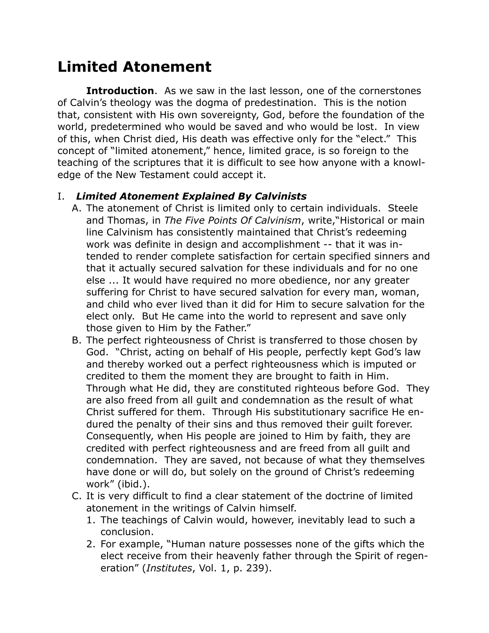## **Limited Atonement**

**Introduction**. As we saw in the last lesson, one of the cornerstones of Calvin's theology was the dogma of predestination. This is the notion that, consistent with His own sovereignty, God, before the foundation of the world, predetermined who would be saved and who would be lost. In view of this, when Christ died, His death was effective only for the "elect." This concept of "limited atonement," hence, limited grace, is so foreign to the teaching of the scriptures that it is difficult to see how anyone with a knowledge of the New Testament could accept it.

## I. *Limited Atonement Explained By Calvinists*

- A. The atonement of Christ is limited only to certain individuals. Steele and Thomas, in *The Five Points Of Calvinism*, write,"Historical or main line Calvinism has consistently maintained that Christ's redeeming work was definite in design and accomplishment -- that it was intended to render complete satisfaction for certain specified sinners and that it actually secured salvation for these individuals and for no one else ... It would have required no more obedience, nor any greater suffering for Christ to have secured salvation for every man, woman, and child who ever lived than it did for Him to secure salvation for the elect only. But He came into the world to represent and save only those given to Him by the Father."
- B. The perfect righteousness of Christ is transferred to those chosen by God."Christ, acting on behalf of His people, perfectly kept God's law and thereby worked out a perfect righteousness which is imputed or credited to them the moment they are brought to faith in Him. Through what He did, they are constituted righteous before God. They are also freed from all guilt and condemnation as the result of what Christ suffered for them. Through His substitutionary sacrifice He endured the penalty of their sins and thus removed their guilt forever. Consequently, when His people are joined to Him by faith, they are credited with perfect righteousness and are freed from all guilt and condemnation. They are saved, not because of what they themselves have done or will do, but solely on the ground of Christ's redeeming work" (ibid.).
- C. It is very difficult to find a clear statement of the doctrine of limited atonement in the writings of Calvin himself.
	- 1. The teachings of Calvin would, however, inevitably lead to such a conclusion.
	- 2. For example, "Human nature possesses none of the gifts which the elect receive from their heavenly father through the Spirit of regeneration" (*Institutes*, Vol. 1, p. 239).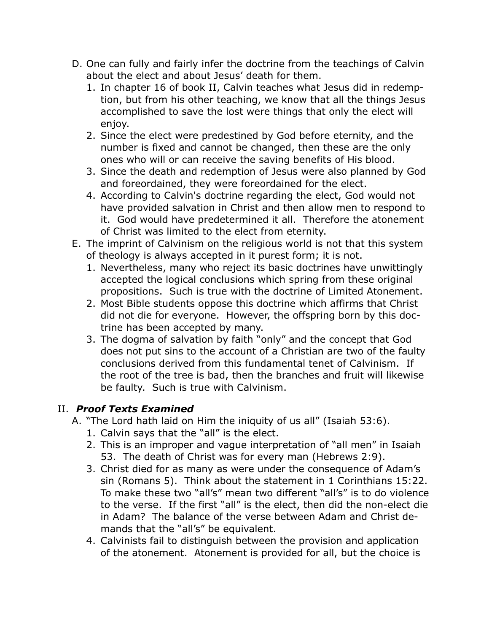- D. One can fully and fairly infer the doctrine from the teachings of Calvin about the elect and about Jesus' death for them.
	- 1. In chapter 16 of book II, Calvin teaches what Jesus did in redemption, but from his other teaching, we know that all the things Jesus accomplished to save the lost were things that only the elect will enjoy.
	- 2. Since the elect were predestined by God before eternity, and the number is fixed and cannot be changed, then these are the only ones who will or can receive the saving benefits of His blood.
	- 3. Since the death and redemption of Jesus were also planned by God and foreordained, they were foreordained for the elect.
	- 4. According to Calvin's doctrine regarding the elect, God would not have provided salvation in Christ and then allow men to respond to it. God would have predetermined it all. Therefore the atonement of Christ was limited to the elect from eternity.
- E. The imprint of Calvinism on the religious world is not that this system of theology is always accepted in it purest form; it is not.
	- 1. Nevertheless, many who reject its basic doctrines have unwittingly accepted the logical conclusions which spring from these original propositions. Such is true with the doctrine of Limited Atonement.
	- 2. Most Bible students oppose this doctrine which affirms that Christ did not die for everyone. However, the offspring born by this doctrine has been accepted by many.
	- 3. The dogma of salvation by faith "only" and the concept that God does not put sins to the account of a Christian are two of the faulty conclusions derived from this fundamental tenet of Calvinism. If the root of the tree is bad, then the branches and fruit will likewise be faulty. Such is true with Calvinism.

## II. *Proof Texts Examined*

- A. "The Lord hath laid on Him the iniquity of us all" (Isaiah 53:6).
	- 1. Calvin says that the "all" is the elect.
	- 2. This is an improper and vague interpretation of "all men" in Isaiah 53. The death of Christ was for every man (Hebrews 2:9).
	- 3. Christ died for as many as were under the consequence of Adam's sin (Romans 5). Think about the statement in 1 Corinthians 15:22. To make these two "all's" mean two different "all's" is to do violence to the verse. If the first "all" is the elect, then did the non-elect die in Adam? The balance of the verse between Adam and Christ demands that the "all's" be equivalent.
	- 4. Calvinists fail to distinguish between the provision and application of the atonement. Atonement is provided for all, but the choice is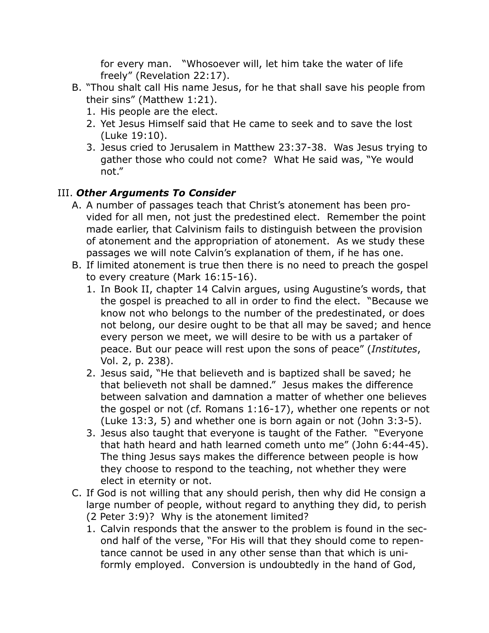for every man. "Whosoever will, let him take the water of life freely" (Revelation 22:17).

- B. "Thou shalt call His name Jesus, for he that shall save his people from their sins" (Matthew 1:21).
	- 1. His people are the elect.
	- 2. Yet Jesus Himself said that He came to seek and to save the lost (Luke 19:10).
	- 3. Jesus cried to Jerusalem in Matthew 23:37-38. Was Jesus trying to gather those who could not come? What He said was, "Ye would not."

## III. *Other Arguments To Consider*

- A. A number of passages teach that Christ's atonement has been provided for all men, not just the predestined elect. Remember the point made earlier, that Calvinism fails to distinguish between the provision of atonement and the appropriation of atonement. As we study these passages we will note Calvin's explanation of them, if he has one.
- B. If limited atonement is true then there is no need to preach the gospel to every creature (Mark 16:15-16).
	- 1. In Book II, chapter 14 Calvin argues, using Augustine's words, that the gospel is preached to all in order to find the elect. "Because we know not who belongs to the number of the predestinated, or does not belong, our desire ought to be that all may be saved; and hence every person we meet, we will desire to be with us a partaker of peace. But our peace will rest upon the sons of peace" (*Institutes*, Vol. 2, p. 238).
	- 2. Jesus said, "He that believeth and is baptized shall be saved; he that believeth not shall be damned." Jesus makes the difference between salvation and damnation a matter of whether one believes the gospel or not (cf. Romans 1:16-17), whether one repents or not (Luke 13:3, 5) and whether one is born again or not (John 3:3-5).
	- 3. Jesus also taught that everyone is taught of the Father. "Everyone that hath heard and hath learned cometh unto me" (John 6:44-45). The thing Jesus says makes the difference between people is how they choose to respond to the teaching, not whether they were elect in eternity or not.
- C. If God is not willing that any should perish, then why did He consign a large number of people, without regard to anything they did, to perish
	- (2 Peter 3:9)? Why is the atonement limited?
	- 1. Calvin responds that the answer to the problem is found in the second half of the verse, "For His will that they should come to repentance cannot be used in any other sense than that which is uniformly employed. Conversion is undoubtedly in the hand of God,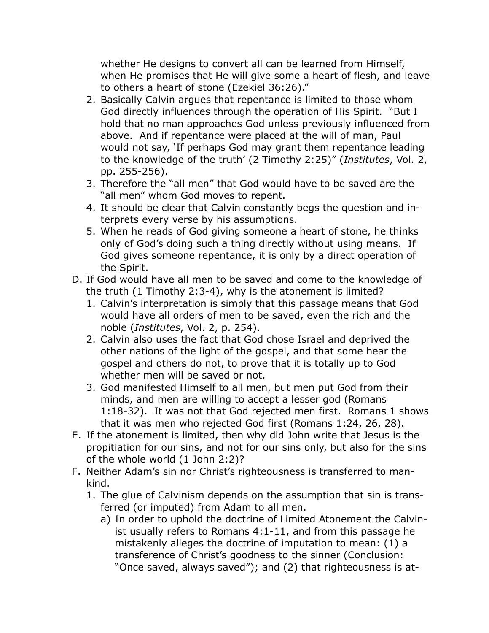whether He designs to convert all can be learned from Himself, when He promises that He will give some a heart of flesh, and leave to others a heart of stone (Ezekiel 36:26)."

- 2. Basically Calvin argues that repentance is limited to those whom God directly influences through the operation of His Spirit. "But I hold that no man approaches God unless previously influenced from above. And if repentance were placed at the will of man, Paul would not say, 'If perhaps God may grant them repentance leading to the knowledge of the truth' (2 Timothy 2:25)" (*Institutes*, Vol. 2, pp. 255-256).
- 3. Therefore the "all men" that God would have to be saved are the "all men" whom God moves to repent.
- 4. It should be clear that Calvin constantly begs the question and interprets every verse by his assumptions.
- 5. When he reads of God giving someone a heart of stone, he thinks only of God's doing such a thing directly without using means. If God gives someone repentance, it is only by a direct operation of the Spirit.
- D. If God would have all men to be saved and come to the knowledge of the truth (1 Timothy 2:3-4), why is the atonement is limited?
	- 1. Calvin's interpretation is simply that this passage means that God would have all orders of men to be saved, even the rich and the noble (*Institutes*, Vol. 2, p. 254).
	- 2. Calvin also uses the fact that God chose Israel and deprived the other nations of the light of the gospel, and that some hear the gospel and others do not, to prove that it is totally up to God whether men will be saved or not.
	- 3. God manifested Himself to all men, but men put God from their minds, and men are willing to accept a lesser god (Romans 1:18-32). It was not that God rejected men first. Romans 1 shows that it was men who rejected God first (Romans 1:24, 26, 28).
- E. If the atonement is limited, then why did John write that Jesus is the propitiation for our sins, and not for our sins only, but also for the sins of the whole world (1 John 2:2)?
- F. Neither Adam's sin nor Christ's righteousness is transferred to mankind.
	- 1. The glue of Calvinism depends on the assumption that sin is transferred (or imputed) from Adam to all men.
		- a) In order to uphold the doctrine of Limited Atonement the Calvinist usually refers to Romans 4:1-11, and from this passage he mistakenly alleges the doctrine of imputation to mean: (1) a transference of Christ's goodness to the sinner (Conclusion: "Once saved, always saved"); and (2) that righteousness is at-